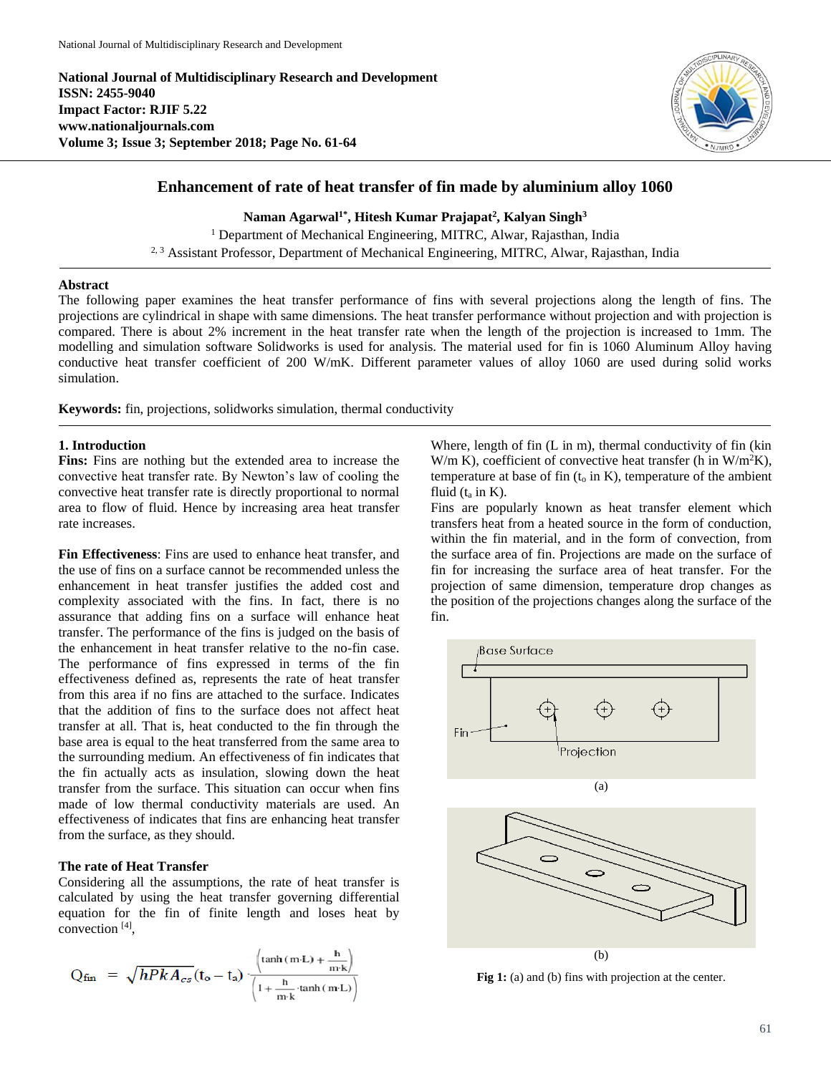**National Journal of Multidisciplinary Research and Development ISSN: 2455-9040 Impact Factor: RJIF 5.22 www.nationaljournals.com Volume 3; Issue 3; September 2018; Page No. 61-64**



# **Enhancement of rate of heat transfer of fin made by aluminium alloy 1060**

**Naman Agarwal1\* , Hitesh Kumar Prajapat<sup>2</sup> , Kalyan Singh<sup>3</sup>** <sup>1</sup> Department of Mechanical Engineering, MITRC, Alwar, Rajasthan, India <sup>2, 3</sup> Assistant Professor, Department of Mechanical Engineering, MITRC, Alwar, Rajasthan, India

### **Abstract**

The following paper examines the heat transfer performance of fins with several projections along the length of fins. The projections are cylindrical in shape with same dimensions. The heat transfer performance without projection and with projection is compared. There is about 2% increment in the heat transfer rate when the length of the projection is increased to 1mm. The modelling and simulation software Solidworks is used for analysis. The material used for fin is 1060 Aluminum Alloy having conductive heat transfer coefficient of 200 W/mK. Different parameter values of alloy 1060 are used during solid works simulation.

**Keywords:** fin, projections, solidworks simulation, thermal conductivity

## **1. Introduction**

**Fins:** Fins are nothing but the extended area to increase the convective heat transfer rate. By Newton's law of cooling the convective heat transfer rate is directly proportional to normal area to flow of fluid. Hence by increasing area heat transfer rate increases.

**Fin Effectiveness**: Fins are used to enhance heat transfer, and the use of fins on a surface cannot be recommended unless the enhancement in heat transfer justifies the added cost and complexity associated with the fins. In fact, there is no assurance that adding fins on a surface will enhance heat transfer. The performance of the fins is judged on the basis of the enhancement in heat transfer relative to the no-fin case. The performance of fins expressed in terms of the fin effectiveness defined as, represents the rate of heat transfer from this area if no fins are attached to the surface. Indicates that the addition of fins to the surface does not affect heat transfer at all. That is, heat conducted to the fin through the base area is equal to the heat transferred from the same area to the surrounding medium. An effectiveness of fin indicates that the fin actually acts as insulation, slowing down the heat transfer from the surface. This situation can occur when fins made of low thermal conductivity materials are used. An effectiveness of indicates that fins are enhancing heat transfer from the surface, as they should.

### **The rate of Heat Transfer**

Considering all the assumptions, the rate of heat transfer is calculated by using the heat transfer governing differential equation for the fin of finite length and loses heat by convection [4] ,

$$
Q_{fin} = \sqrt{hPkA_{cs}}(t_o - t_a) \frac{\left(\tanh(m \cdot L) + \frac{h}{m \cdot k}\right)}{\left(1 + \frac{h}{m \cdot k} \cdot \tanh(m \cdot L)\right)}
$$

Where, length of fin (L in m), thermal conductivity of fin (kin W/m K), coefficient of convective heat transfer (h in  $W/m^2K$ ), temperature at base of fin  $(t_0$  in K), temperature of the ambient fluid  $(t_a$  in  $K$ ).

Fins are popularly known as heat transfer element which transfers heat from a heated source in the form of conduction, within the fin material, and in the form of convection, from the surface area of fin. Projections are made on the surface of fin for increasing the surface area of heat transfer. For the projection of same dimension, temperature drop changes as the position of the projections changes along the surface of the fin.



**Fig 1:** (a) and (b) fins with projection at the center.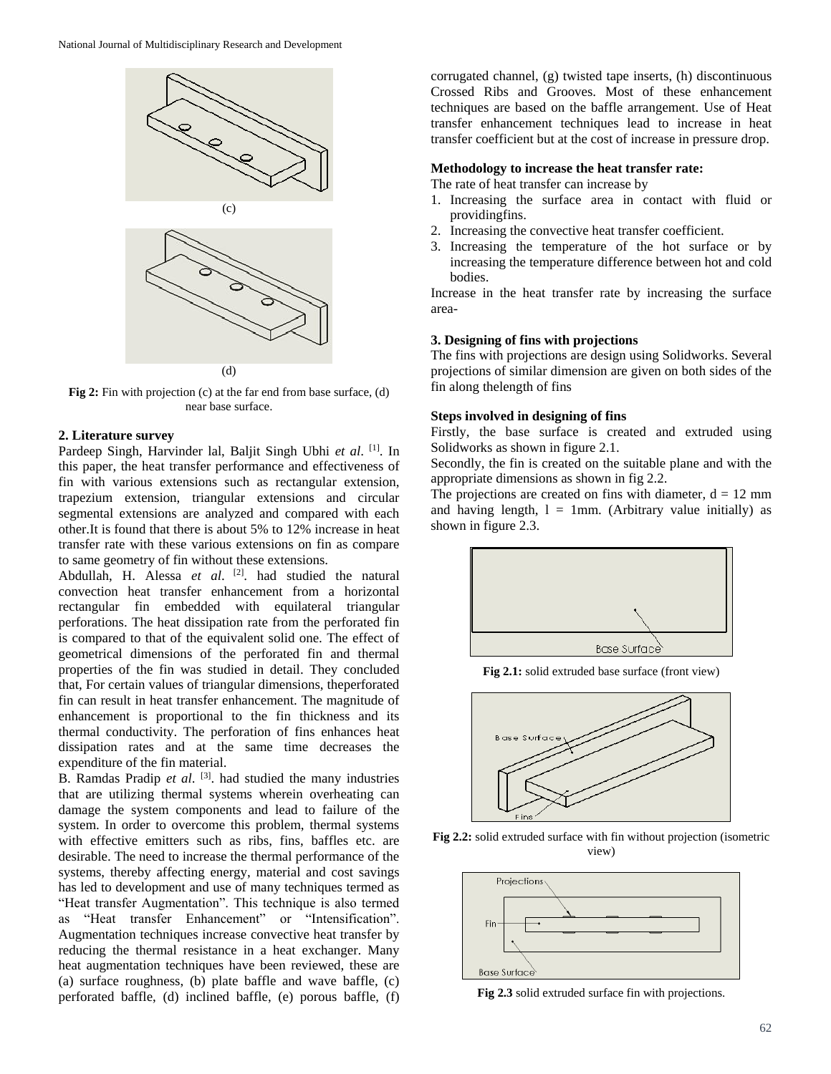

**Fig 2:** Fin with projection (c) at the far end from base surface, (d) near base surface.

#### **2. Literature survey**

Pardeep Singh, Harvinder lal, Baljit Singh Ubhi *et al*. [1] . In this paper, the heat transfer performance and effectiveness of fin with various extensions such as rectangular extension, trapezium extension, triangular extensions and circular segmental extensions are analyzed and compared with each other.It is found that there is about 5% to 12% increase in heat transfer rate with these various extensions on fin as compare to same geometry of fin without these extensions.

Abdullah, H. Alessa *et al*. [2] . had studied the natural convection heat transfer enhancement from a horizontal rectangular fin embedded with equilateral triangular perforations. The heat dissipation rate from the perforated fin is compared to that of the equivalent solid one. The effect of geometrical dimensions of the perforated fin and thermal properties of the fin was studied in detail. They concluded that, For certain values of triangular dimensions, theperforated fin can result in heat transfer enhancement. The magnitude of enhancement is proportional to the fin thickness and its thermal conductivity. The perforation of fins enhances heat dissipation rates and at the same time decreases the expenditure of the fin material.

B. Ramdas Pradip et al. <sup>[3]</sup>. had studied the many industries that are utilizing thermal systems wherein overheating can damage the system components and lead to failure of the system. In order to overcome this problem, thermal systems with effective emitters such as ribs, fins, baffles etc. are desirable. The need to increase the thermal performance of the systems, thereby affecting energy, material and cost savings has led to development and use of many techniques termed as "Heat transfer Augmentation". This technique is also termed as "Heat transfer Enhancement" or "Intensification". Augmentation techniques increase convective heat transfer by reducing the thermal resistance in a heat exchanger. Many heat augmentation techniques have been reviewed, these are (a) surface roughness, (b) plate baffle and wave baffle, (c) perforated baffle, (d) inclined baffle, (e) porous baffle, (f)

corrugated channel, (g) twisted tape inserts, (h) discontinuous Crossed Ribs and Grooves. Most of these enhancement techniques are based on the baffle arrangement. Use of Heat transfer enhancement techniques lead to increase in heat transfer coefficient but at the cost of increase in pressure drop.

#### **Methodology to increase the heat transfer rate:**

The rate of heat transfer can increase by

- 1. Increasing the surface area in contact with fluid or providingfins.
- 2. Increasing the convective heat transfer coefficient.
- 3. Increasing the temperature of the hot surface or by increasing the temperature difference between hot and cold bodies.

Increase in the heat transfer rate by increasing the surface area-

#### **3. Designing of fins with projections**

The fins with projections are design using Solidworks. Several projections of similar dimension are given on both sides of the fin along thelength of fins

### **Steps involved in designing of fins**

Firstly, the base surface is created and extruded using Solidworks as shown in figure 2.1.

Secondly, the fin is created on the suitable plane and with the appropriate dimensions as shown in fig 2.2.

The projections are created on fins with diameter,  $d = 12$  mm and having length,  $l = 1$ mm. (Arbitrary value initially) as shown in figure 2.3.



**Fig 2.1:** solid extruded base surface (front view)



**Fig 2.2:** solid extruded surface with fin without projection (isometric view)



**Fig 2.3** solid extruded surface fin with projections.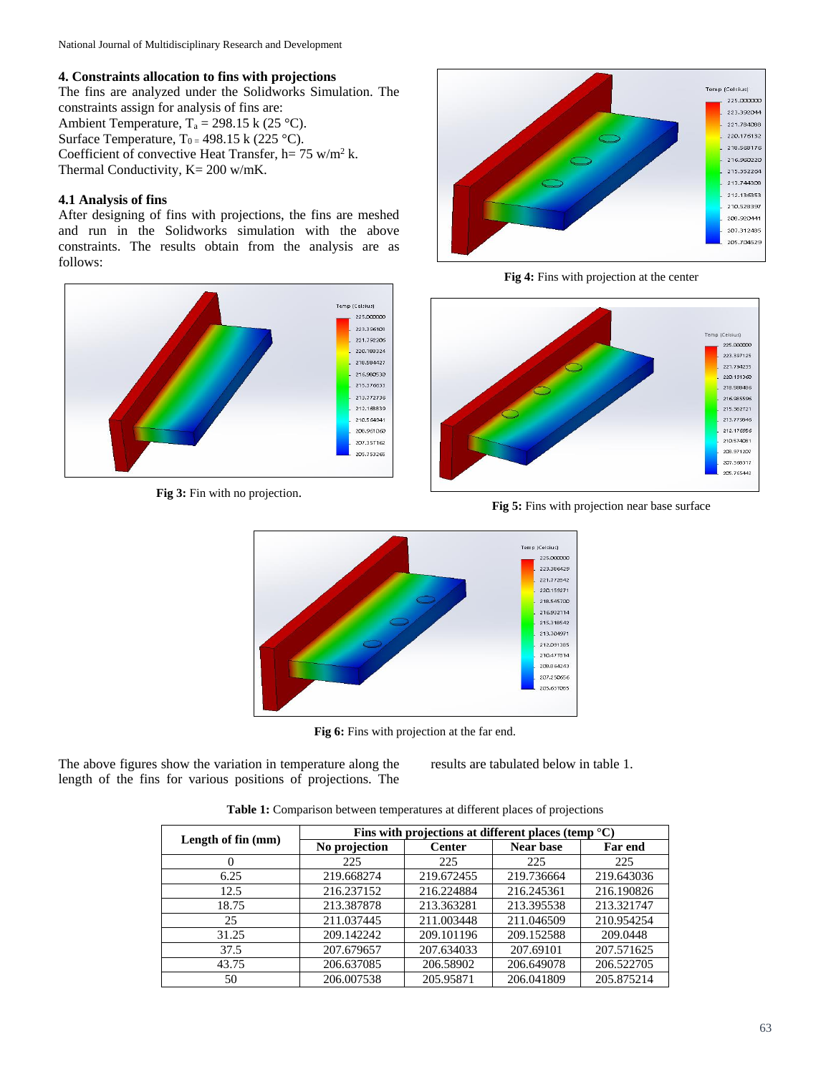# **4. Constraints allocation to fins with projections**

The fins are analyzed under the Solidworks Simulation. The constraints assign for analysis of fins are: Ambient Temperature,  $T_a = 298.15$  k (25 °C). Surface Temperature,  $T_0 = 498.15$  k (225 °C). Coefficient of convective Heat Transfer,  $h = 75$  w/m<sup>2</sup> k. Thermal Conductivity, K= 200 w/mK.

# **4.1 Analysis of fins**

After designing of fins with projections, the fins are meshed and run in the Solidworks simulation with the above constraints. The results obtain from the analysis are as follows:



**Fig 3:** Fin with no projection.



**Fig 4:** Fins with projection at the center



**Fig 5:** Fins with projection near base surface



**Fig 6:** Fins with projection at the far end.

The above figures show the variation in temperature along the length of the fins for various positions of projections. The results are tabulated below in table 1.

**Table 1:** Comparison between temperatures at different places of projections

| Length of fin (mm) | Fins with projections at different places (temp $^{\circ}$ C) |               |                  |                |
|--------------------|---------------------------------------------------------------|---------------|------------------|----------------|
|                    | No projection                                                 | <b>Center</b> | <b>Near base</b> | <b>Far end</b> |
| 0                  | 225                                                           | 225           | 225              | 225            |
| 6.25               | 219.668274                                                    | 219.672455    | 219.736664       | 219.643036     |
| 12.5               | 216.237152                                                    | 216.224884    | 216.245361       | 216.190826     |
| 18.75              | 213.387878                                                    | 213.363281    | 213.395538       | 213.321747     |
| 25                 | 211.037445                                                    | 211.003448    | 211.046509       | 210.954254     |
| 31.25              | 209.142242                                                    | 209.101196    | 209.152588       | 209.0448       |
| 37.5               | 207.679657                                                    | 207.634033    | 207.69101        | 207.571625     |
| 43.75              | 206.637085                                                    | 206.58902     | 206.649078       | 206.522705     |
| 50                 | 206.007538                                                    | 205.95871     | 206.041809       | 205.875214     |